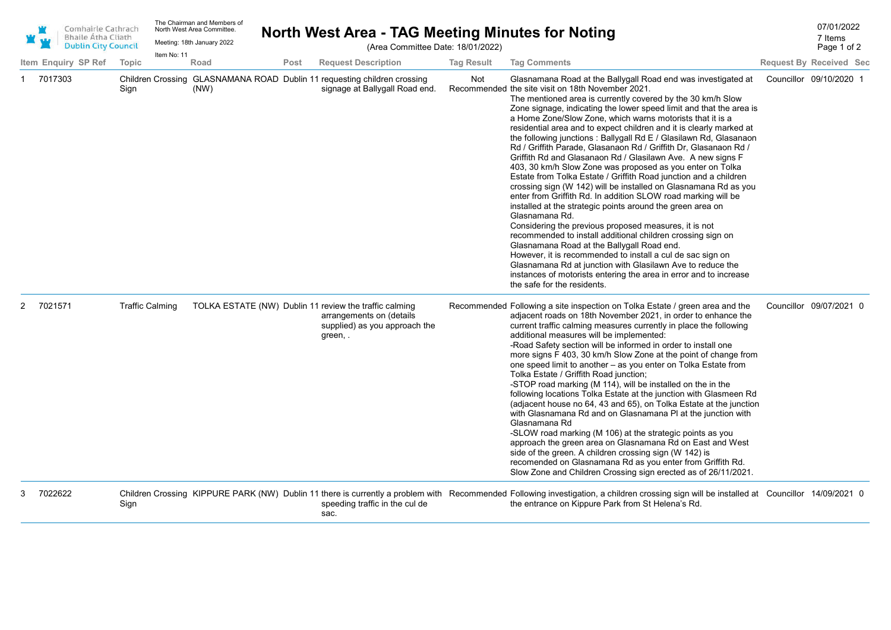|   | Comhairle Cathrach<br><b>Bhaile Átha Cliath</b><br><b>Dublin City Council</b> |                        | Item No: 11 | The Chairman and Members of<br>North West Area Committee.<br>Meeting: 18th January 2022 |      |                                                                                                | (Area Committee Date: 18/01/2022) |                   | North West Area - TAG Meeting Minutes for Noting                                                                                                                                                                                                                                                                                                                                                                                                                                                                                                                                                                                                                                                                                                                                                                                                                                                                                                                                                                                                                                                                                                                                                                                                                                                                                                                | 07/01/2022<br>7 Items<br>Page 1 of 2 |
|---|-------------------------------------------------------------------------------|------------------------|-------------|-----------------------------------------------------------------------------------------|------|------------------------------------------------------------------------------------------------|-----------------------------------|-------------------|-----------------------------------------------------------------------------------------------------------------------------------------------------------------------------------------------------------------------------------------------------------------------------------------------------------------------------------------------------------------------------------------------------------------------------------------------------------------------------------------------------------------------------------------------------------------------------------------------------------------------------------------------------------------------------------------------------------------------------------------------------------------------------------------------------------------------------------------------------------------------------------------------------------------------------------------------------------------------------------------------------------------------------------------------------------------------------------------------------------------------------------------------------------------------------------------------------------------------------------------------------------------------------------------------------------------------------------------------------------------|--------------------------------------|
|   | Item Enquiry SP Ref                                                           | Topic                  |             | Road                                                                                    | Post | <b>Request Description</b>                                                                     |                                   | <b>Tag Result</b> | <b>Tag Comments</b>                                                                                                                                                                                                                                                                                                                                                                                                                                                                                                                                                                                                                                                                                                                                                                                                                                                                                                                                                                                                                                                                                                                                                                                                                                                                                                                                             | <b>Request By Received Sec</b>       |
|   | 7017303                                                                       | Sign                   |             | (NW)                                                                                    |      | Children Crossing GLASNAMANA ROAD Dublin 11 requesting children crossing                       | signage at Ballygall Road end.    | Not               | Glasnamana Road at the Ballygall Road end was investigated at<br>Recommended the site visit on 18th November 2021.<br>The mentioned area is currently covered by the 30 km/h Slow<br>Zone signage, indicating the lower speed limit and that the area is<br>a Home Zone/Slow Zone, which warns motorists that it is a<br>residential area and to expect children and it is clearly marked at<br>the following junctions: Ballygall Rd E / Glasilawn Rd, Glasanaon<br>Rd / Griffith Parade, Glasanaon Rd / Griffith Dr, Glasanaon Rd /<br>Griffith Rd and Glasanaon Rd / Glasilawn Ave. A new signs F<br>403, 30 km/h Slow Zone was proposed as you enter on Tolka<br>Estate from Tolka Estate / Griffith Road junction and a children<br>crossing sign (W 142) will be installed on Glasnamana Rd as you<br>enter from Griffith Rd. In addition SLOW road marking will be<br>installed at the strategic points around the green area on<br>Glasnamana Rd.<br>Considering the previous proposed measures, it is not<br>recommended to install additional children crossing sign on<br>Glasnamana Road at the Ballygall Road end.<br>However, it is recommended to install a cul de sac sign on<br>Glasnamana Rd at junction with Glasilawn Ave to reduce the<br>instances of motorists entering the area in error and to increase<br>the safe for the residents. | Councillor 09/10/2020 1              |
|   | 2 7021571                                                                     | <b>Traffic Calming</b> |             |                                                                                         |      | TOLKA ESTATE (NW) Dublin 11 review the traffic calming<br>arrangements on (details<br>green, . | supplied) as you approach the     |                   | Recommended Following a site inspection on Tolka Estate / green area and the<br>adjacent roads on 18th November 2021, in order to enhance the<br>current traffic calming measures currently in place the following<br>additional measures will be implemented:<br>-Road Safety section will be informed in order to install one<br>more signs F 403, 30 km/h Slow Zone at the point of change from<br>one speed limit to another - as you enter on Tolka Estate from<br>Tolka Estate / Griffith Road junction;<br>-STOP road marking (M 114), will be installed on the in the<br>following locations Tolka Estate at the junction with Glasmeen Rd<br>(adjacent house no 64, 43 and 65), on Tolka Estate at the junction<br>with Glasnamana Rd and on Glasnamana PI at the junction with<br>Glasnamana Rd<br>-SLOW road marking (M 106) at the strategic points as you<br>approach the green area on Glasnamana Rd on East and West<br>side of the green. A children crossing sign (W 142) is<br>recomended on Glasnamana Rd as you enter from Griffith Rd.<br>Slow Zone and Children Crossing sign erected as of 26/11/2021.                                                                                                                                                                                                                                   | Councillor 09/07/2021 0              |
| 3 | 7022622                                                                       | Sign                   |             |                                                                                         |      | sac.                                                                                           | speeding traffic in the cul de    |                   | Children Crossing KIPPURE PARK (NW) Dublin 11 there is currently a problem with Recommended Following investigation, a children crossing sign will be installed at Councillor 14/09/2021 0<br>the entrance on Kippure Park from St Helena's Rd.                                                                                                                                                                                                                                                                                                                                                                                                                                                                                                                                                                                                                                                                                                                                                                                                                                                                                                                                                                                                                                                                                                                 |                                      |